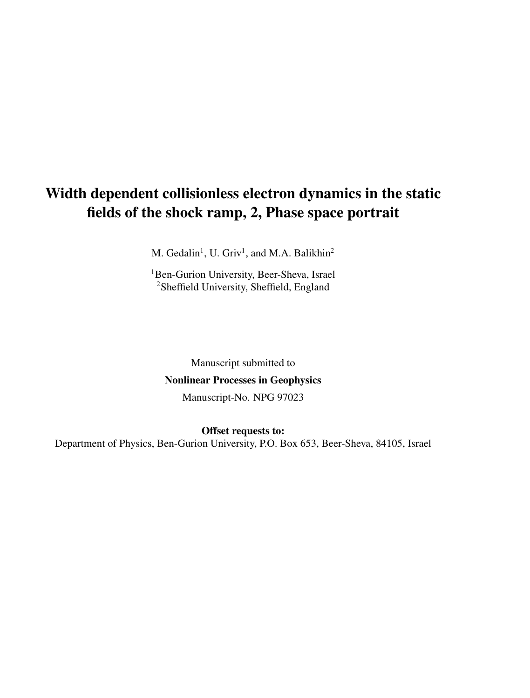# Width dependent collisionless electron dynamics in the static fields of the shock ramp, 2, Phase space portrait

M. Gedalin<sup>1</sup>, U. Griv<sup>1</sup>, and M.A. Balikhin<sup>2</sup>

<sup>1</sup>Ben-Gurion University, Beer-Sheva, Israel <sup>2</sup>Sheffield University, Sheffield, England

Manuscript submitted to Nonlinear Processes in Geophysics Manuscript-No. NPG 97023

Offset requests to: Department of Physics, Ben-Gurion University, P.O. Box 653, Beer-Sheva, 84105, Israel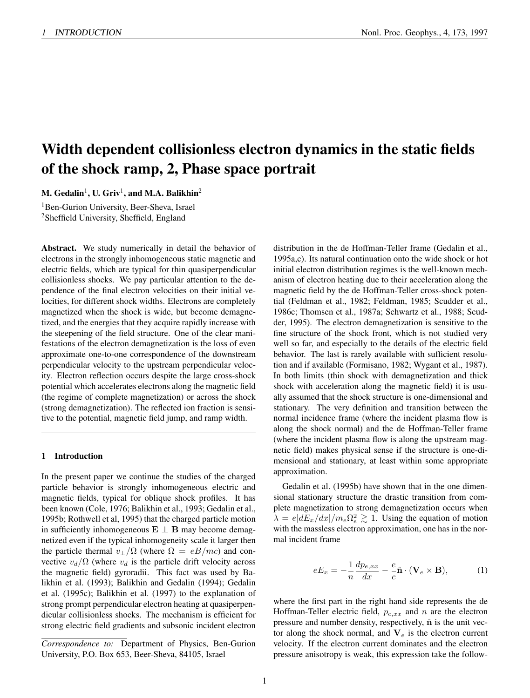## Width dependent collisionless electron dynamics in the static fields of the shock ramp, 2, Phase space portrait

M. Gedalin $^1$ , U. Griv $^1$ , and M.A. Balikhin $^2$ 

<sup>1</sup>Ben-Gurion University, Beer-Sheva, Israel <sup>2</sup>Sheffield University, Sheffield, England

Abstract. We study numerically in detail the behavior of electrons in the strongly inhomogeneous static magnetic and electric fields, which are typical for thin quasiperpendicular collisionless shocks. We pay particular attention to the dependence of the final electron velocities on their initial velocities, for different shock widths. Electrons are completely magnetized when the shock is wide, but become demagnetized, and the energies that they acquire rapidly increase with the steepening of the field structure. One of the clear manifestations of the electron demagnetization is the loss of even approximate one-to-one correspondence of the downstream perpendicular velocity to the upstream perpendicular velocity. Electron reflection occurs despite the large cross-shock potential which accelerates electrons along the magnetic field (the regime of complete magnetization) or across the shock (strong demagnetization). The reflected ion fraction is sensitive to the potential, magnetic field jump, and ramp width.

### 1 Introduction

In the present paper we continue the studies of the charged particle behavior is strongly inhomogeneous electric and magnetic fields, typical for oblique shock profiles. It has been known (Cole, 1976; Balikhin et al., 1993; Gedalin et al., 1995b; Rothwell et al, 1995) that the charged particle motion in sufficiently inhomogeneous  $E \perp B$  may become demagnetized even if the typical inhomogeneity scale it larger then the particle thermal  $v_{\perp}/\Omega$  (where  $\Omega = eB/mc$ ) and convective  $v_d/\Omega$  (where  $v_d$  is the particle drift velocity across the magnetic field) gyroradii. This fact was used by Balikhin et al. (1993); Balikhin and Gedalin (1994); Gedalin et al. (1995c); Balikhin et al. (1997) to the explanation of strong prompt perpendicular electron heating at quasiperpendicular collisionless shocks. The mechanism is efficient for strong electric field gradients and subsonic incident electron

distribution in the de Hoffman-Teller frame (Gedalin et al., 1995a,c). Its natural continuation onto the wide shock or hot initial electron distribution regimes is the well-known mechanism of electron heating due to their acceleration along the magnetic field by the de Hoffman-Teller cross-shock potential (Feldman et al., 1982; Feldman, 1985; Scudder et al., 1986c; Thomsen et al., 1987a; Schwartz et al., 1988; Scudder, 1995). The electron demagnetization is sensitive to the fine structure of the shock front, which is not studied very well so far, and especially to the details of the electric field behavior. The last is rarely available with sufficient resolution and if available (Formisano, 1982; Wygant et al., 1987). In both limits (thin shock with demagnetization and thick shock with acceleration along the magnetic field) it is usually assumed that the shock structure is one-dimensional and stationary. The very definition and transition between the normal incidence frame (where the incident plasma flow is along the shock normal) and the de Hoffman-Teller frame (where the incident plasma flow is along the upstream magnetic field) makes physical sense if the structure is one-dimensional and stationary, at least within some appropriate approximation.

Gedalin et al. (1995b) have shown that in the one dimensional stationary structure the drastic transition from complete magnetization to strong demagnetization occurs when  $\lambda = e|dE_x/dx|/m_e\Omega_e^2 \gtrsim 1$ . Using the equation of motion with the massless electron approximation, one has in the normal incident frame

$$
eE_x = -\frac{1}{n}\frac{dp_{e,xx}}{dx} - \frac{e}{c}\hat{\mathbf{n}} \cdot (\mathbf{V}_e \times \mathbf{B}),\tag{1}
$$

where the first part in the right hand side represents the de Hoffman-Teller electric field,  $p_{e,xx}$  and n are the electron pressure and number density, respectively,  $\hat{\mathbf{n}}$  is the unit vector along the shock normal, and  $V_e$  is the electron current velocity. If the electron current dominates and the electron pressure anisotropy is weak, this expression take the follow-

*Correspondence to:* Department of Physics, Ben-Gurion University, P.O. Box 653, Beer-Sheva, 84105, Israel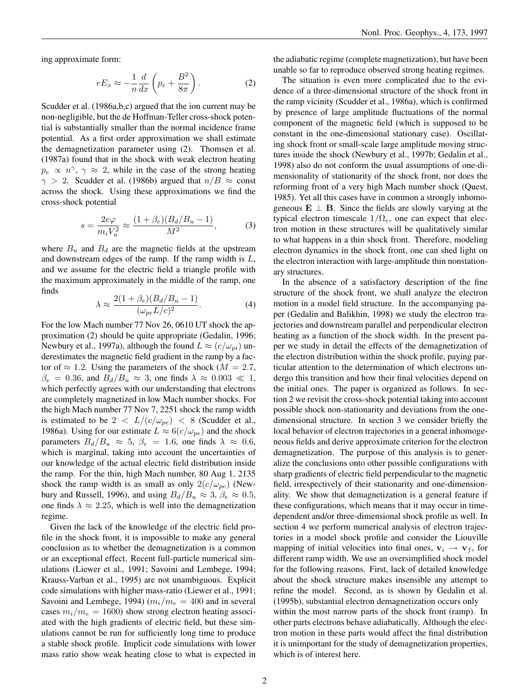ing approximate form:

$$
eE_x \approx -\frac{1}{n}\frac{d}{dx}\left(p_e + \frac{B^2}{8\pi}\right). \tag{2}
$$

Scudder et al. (1986a,b,c) argued that the ion current may be non-negligible, but the de Hoffman-Teller cross-shock potential is substantially smaller than the normal incidence frame potential. As a first order approximation we shall estimate the demagnetization parameter using (2). Thomsen et al. (1987a) found that in the shock with weak electron heating  $p_e \propto n^{\gamma}$ ,  $\gamma \approx 2$ , while in the case of the strong heating  $\gamma > 2$ . Scudder et al. (1986b) argued that  $n/B \approx$  const across the shock. Using these approximations we find the cross-shock potential

$$
s = \frac{2e\varphi}{m_i V_u^2} \approx \frac{(1+\beta_e)(B_d/B_u - 1)}{M^2},\tag{3}
$$

where  $B_u$  and  $B_d$  are the magnetic fields at the upstream and downstream edges of the ramp. If the ramp width is L, and we assume for the electric field a triangle profile with the maximum approximately in the middle of the ramp, one finds

$$
\lambda \approx \frac{2(1+\beta_e)(B_d/B_u-1)}{(\omega_{pe}L/c)^2}.
$$
 (4)

For the low Mach number 77 Nov 26, 0610 UT shock the approximation (2) should be quite appropriate (Gedalin, 1996; Newbury et al., 1997a), although the found  $L \approx (c/\omega_{pi})$  underestimates the magnetic field gradient in the ramp by a factor of  $\approx 1.2$ . Using the parameters of the shock ( $M = 2.7$ ,  $\beta_e = 0.36$ , and  $B_d/B_u \approx 3$ , one finds  $\lambda \approx 0.003 \ll 1$ , which perfectly agrees with our understanding that electrons are completely magnetized in low Mach number shocks. For the high Mach number 77 Nov 7, 2251 shock the ramp width is estimated to be  $2 < L/(c/\omega_{pe}) < 8$  (Scudder et al., 1986a). Using for our estimate  $L \approx 6(c/\omega_{pe})$  and the shock parameters  $B_d/B_u \approx 5$ ,  $\beta_e = 1.6$ , one finds  $\lambda \approx 0.6$ , which is marginal, taking into account the uncertainties of our knowledge of the actual electric field distribution inside the ramp. For the thin, high Mach number, 80 Aug 1, 2135 shock the ramp width is as small as only  $2(c/\omega_{pe})$  (Newbury and Russell, 1996), and using  $B_d/B_u \approx 3$ ,  $\beta_e \approx 0.5$ , one finds  $\lambda \approx 2.25$ , which is well into the demagnetization regime.

Given the lack of the knowledge of the electric field profile in the shock front, it is impossible to make any general conclusion as to whether the demagnetization is a common or an exceptional effect. Recent full-particle numerical simulations (Liewer et al., 1991; Savoini and Lembege, 1994; Krauss-Varban et al., 1995) are not unambiguous. Explicit code simulations with higher mass-ratio (Liewer et al., 1991; Savoini and Lembege, 1994) ( $m_i/m_e = 400$  and in several cases  $m_i/m_e = 1600$ ) show strong electron heating associated with the high gradients of electric field, but these simulations cannot be run for sufficiently long time to produce a stable shock profile. Implicit code simulations with lower mass ratio show weak heating close to what is expected in the adiabatic regime (complete magnetization), but have been unable so far to reproduce observed strong heating regimes.

The situation is even more complicated due to the evidence of a three-dimensional structure of the shock front in the ramp vicinity (Scudder et al., 1986a), which is confirmed by presence of large amplitude fluctuations of the normal component of the magnetic field (which is supposed to be constant in the one-dimensional stationary case). Oscillating shock front or small-scale large amplitude moving structures inside the shock (Newbury et al., 1997b; Gedalin et al., 1998) also do not conform the usual assumptions of one-dimensionality of stationarity of the shock front, nor does the reforming front of a very high Mach number shock (Quest, 1985). Yet all this cases have in common a strongly inhomogeneous  $\mathbf{E} \perp \mathbf{B}$ . Since the fields are slowly varying at the typical electron timescale  $1/\Omega_e$ , one can expect that electron motion in these structures will be qualitatively similar to what happens in a thin shock front. Therefore, modeling electron dynamics in the shock front, one can shed light on the electron interaction with large-amplitude thin nonstationary structures.

In the absence of a satisfactory description of the fine structure of the shock front, we shall analyze the electron motion in a model field structure. In the accompanying paper (Gedalin and Balikhin, 1998) we study the electron trajectories and downstream parallel and perpendicular electron heating as a function of the shock width. In the present paper we study in detail the effects of the demagnetization of the electron distribution within the shock profile, paying particular attention to the determination of which electrons undergo this transition and how their final velocities depend on the initial ones. The paper is organized as follows. In section 2 we revisit the cross-shock potential taking into account possible shock non-stationarity and deviations from the onedimensional structure. In section 3 we consider briefly the local behavior of electron trajectories in a general inhomogeneous fields and derive approximate criterion for the electron demagnetization. The purpose of this analysis is to generalize the conclusions onto other possible configurations with sharp gradients of electric field perpendicular to the magnetic field, irrespectively of their stationarity and one-dimensionality. We show that demagnetization is a general feature if these configurations, which means that it may occur in timedependent and/or three-dimensional shock profile as well. In section 4 we perform numerical analysis of electron trajectories in a model shock profile and consider the Liouville mapping of initial velocities into final ones,  $v_i \rightarrow v_f$ , for different ramp width. We use an oversimplified shock model for the following reasons. First, lack of detailed knowledge about the shock structure makes insensible any attempt to refine the model. Second, as is shown by Gedalin et al. (1995b), substantial electron demagnetization occurs only within the most narrow parts of the shock front (ramp). In other parts electrons behave adiabatically. Although the electron motion in these parts would affect the final distribution it is unimportant for the study of demagnetization properties, which is of interest here.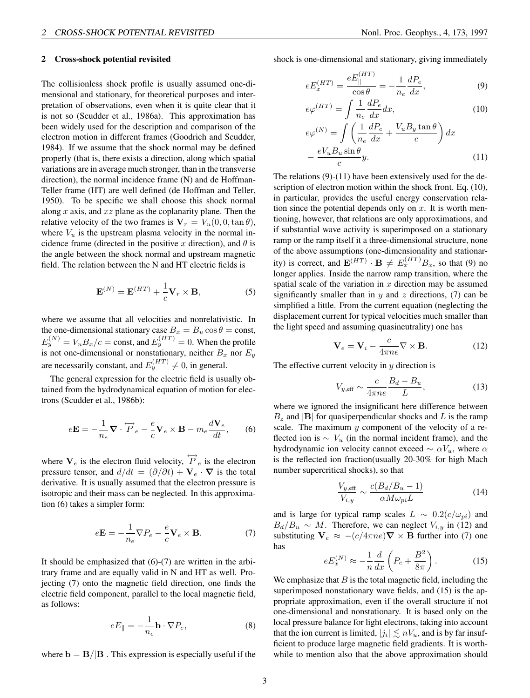#### 2 Cross-shock potential revisited

The collisionless shock profile is usually assumed one-dimensional and stationary, for theoretical purposes and interpretation of observations, even when it is quite clear that it is not so (Scudder et al., 1986a). This approximation has been widely used for the description and comparison of the electron motion in different frames (Goodrich and Scudder, 1984). If we assume that the shock normal may be defined properly (that is, there exists a direction, along which spatial variations are in average much stronger, than in the transverse direction), the normal incidence frame (N) and de Hoffman-Teller frame (HT) are well defined (de Hoffman and Teller, 1950). To be specific we shall choose this shock normal along x axis, and  $xz$  plane as the coplanarity plane. Then the relative velocity of the two frames is  $V_r = V_u(0, 0, \tan \theta)$ , where  $V_u$  is the upstream plasma velocity in the normal incidence frame (directed in the positive x direction), and  $\theta$  is the angle between the shock normal and upstream magnetic field. The relation between the N and HT electric fields is

$$
\mathbf{E}^{(N)} = \mathbf{E}^{(HT)} + \frac{1}{c} \mathbf{V}_r \times \mathbf{B},\tag{5}
$$

where we assume that all velocities and nonrelativistic. In the one-dimensional stationary case  $B_x = B_u \cos \theta = \text{const}$ ,  $E_y^{(N)} = V_u B_x/c = \text{const}$ , and  $E_y^{(HT)} = 0$ . When the profile is not one-dimensional or nonstationary, neither  $B_x$  nor  $E_y$ are necessarily constant, and  $E_y^{(HT)} \neq 0$ , in general.

The general expression for the electric field is usually obtained from the hydrodynamical equation of motion for electrons (Scudder et al., 1986b):

$$
e\mathbf{E} = -\frac{1}{n_e}\nabla \cdot \overleftrightarrow{P}_e - \frac{e}{c}\mathbf{V}_e \times \mathbf{B} - m_e \frac{d\mathbf{V}_e}{dt},\qquad(6)
$$

where  $V_e$  is the electron fluid velocity,  $\overleftrightarrow{P}_e$  is the electron pressure tensor, and  $d/dt = (\partial/\partial t) + \mathbf{V}_e \cdot \nabla$  is the total derivative. It is usually assumed that the electron pressure is isotropic and their mass can be neglected. In this approximation (6) takes a simpler form:

$$
e\mathbf{E} = -\frac{1}{n_e}\nabla P_e - \frac{e}{c}\mathbf{V}_e \times \mathbf{B}.
$$
 (7)

It should be emphasized that  $(6)-(7)$  are written in the arbitrary frame and are equally valid in N and HT as well. Projecting (7) onto the magnetic field direction, one finds the electric field component, parallel to the local magnetic field, as follows:

$$
eE_{\parallel} = -\frac{1}{n_e} \mathbf{b} \cdot \nabla P_e, \tag{8}
$$

where  $\mathbf{b} = \mathbf{B}/|\mathbf{B}|$ . This expression is especially useful if the

shock is one-dimensional and stationary, giving immediately

$$
eE_x^{(HT)} = \frac{eE_{\parallel}^{(HT)}}{\cos \theta} = -\frac{1}{n_e} \frac{dP_e}{dx},
$$
(9)

$$
e\varphi^{(HT)} = \int \frac{1}{n_e} \frac{dP_e}{dx} dx,
$$
\n(10)

$$
e\varphi^{(N)} = \int \left(\frac{1}{n_e} \frac{dP_e}{dx} + \frac{V_u B_y \tan \theta}{c}\right) dx
$$

$$
-\frac{eV_u B_u \sin \theta}{c} y.
$$
(11)

The relations (9)-(11) have been extensively used for the description of electron motion within the shock front. Eq. (10), in particular, provides the useful energy conservation relation since the potential depends only on  $x$ . It is worth mentioning, however, that relations are only approximations, and if substantial wave activity is superimposed on a stationary ramp or the ramp itself it a three-dimensional structure, none of the above assumptions (one-dimensionality and stationarity) is correct, and  $\mathbf{E}^{(HT)} \cdot \mathbf{B} \neq E_x^{(HT)} B_x$ , so that (9) no longer applies. Inside the narrow ramp transition, where the spatial scale of the variation in  $x$  direction may be assumed significantly smaller than in  $y$  and  $z$  directions, (7) can be simplified a little. From the current equation (neglecting the displacement current for typical velocities much smaller than the light speed and assuming quasineutrality) one has

$$
\mathbf{V}_e = \mathbf{V}_i - \frac{c}{4\pi n e} \nabla \times \mathbf{B}.
$$
 (12)

The effective current velocity in  $y$  direction is

$$
V_{y, \text{eff}} \sim \frac{c}{4\pi n e} \frac{B_d - B_u}{L},\tag{13}
$$

where we ignored the insignificant here difference between  $B_z$  and  $|{\bf B}|$  for quasiperpendicular shocks and L is the ramp scale. The maximum  $y$  component of the velocity of a reflected ion is  $\sim V_u$  (in the normal incident frame), and the hydrodynamic ion velocity cannot exceed  $\sim \alpha V_u$ , where  $\alpha$ is the reflected ion fraction(usually 20-30% for high Mach number supercritical shocks), so that

$$
\frac{V_{y,\text{eff}}}{V_{i,y}} \sim \frac{c(B_d/B_u - 1)}{\alpha M \omega_{pi} L} \tag{14}
$$

and is large for typical ramp scales  $L \sim 0.2(c/\omega_{pi})$  and  $B_d/B_u \sim M$ . Therefore, we can neglect  $V_{i,y}$  in (12) and substituting  $V_e \approx -(c/4\pi ne)\nabla \times B$  further into (7) one has

$$
eE_x^{(N)} \approx -\frac{1}{n}\frac{d}{dx}\left(P_e + \frac{B^2}{8\pi}\right). \tag{15}
$$

We emphasize that  $B$  is the total magnetic field, including the superimposed nonstationary wave fields, and (15) is the appropriate approximation, even if the overall structure if not one-dimensional and nonstationary. It is based only on the local pressure balance for light electrons, taking into account that the ion current is limited,  $|j_i| \lesssim nV_u$ , and is by far insufficient to produce large magnetic field gradients. It is worthwhile to mention also that the above approximation should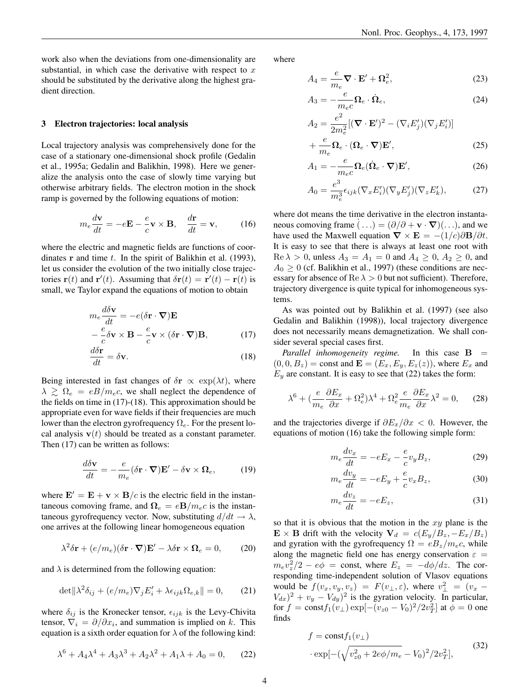work also when the deviations from one-dimensionality are substantial, in which case the derivative with respect to  $x$ should be substituted by the derivative along the highest gradient direction.

#### 3 Electron trajectories: local analysis

Local trajectory analysis was comprehensively done for the case of a stationary one-dimensional shock profile (Gedalin et al., 1995a; Gedalin and Balikhin, 1998). Here we generalize the analysis onto the case of slowly time varying but otherwise arbitrary fields. The electron motion in the shock ramp is governed by the following equations of motion:

$$
m_e \frac{d\mathbf{v}}{dt} = -e\mathbf{E} - \frac{e}{c}\mathbf{v} \times \mathbf{B}, \quad \frac{d\mathbf{r}}{dt} = \mathbf{v}, \quad (16)
$$

where the electric and magnetic fields are functions of coordinates  $\bf{r}$  and time  $t$ . In the spirit of Balikhin et al. (1993), let us consider the evolution of the two initially close trajectories  $\mathbf{r}(t)$  and  $\mathbf{r}'(t)$ . Assuming that  $\delta \mathbf{r}(t) = \mathbf{r}'(t) - \mathbf{r}(t)$  is small, we Taylor expand the equations of motion to obtain

$$
m_e \frac{d\delta \mathbf{v}}{dt} = -e(\delta \mathbf{r} \cdot \nabla)\mathbf{E}
$$
  
 
$$
-\frac{e}{c}\delta \mathbf{v} \times \mathbf{B} - \frac{e}{c}\mathbf{v} \times (\delta \mathbf{r} \cdot \nabla)\mathbf{B},
$$
 (17)

$$
\frac{d\delta \mathbf{r}}{dt} = \delta \mathbf{v}.\tag{18}
$$

Being interested in fast changes of  $\delta$ r  $\propto$  exp( $\lambda t$ ), where  $\lambda \geq \Omega_e = eB/m_e c$ , we shall neglect the dependence of the fields on time in (17)-(18). This approximation should be appropriate even for wave fields if their frequencies are much lower than the electron gyrofrequency  $\Omega_e$ . For the present local analysis  $v(t)$  should be treated as a constant parameter. Then  $(17)$  can be written as follows:

$$
\frac{d\delta \mathbf{v}}{dt} = -\frac{e}{m_e} (\delta \mathbf{r} \cdot \mathbf{\nabla}) \mathbf{E}' - \delta \mathbf{v} \times \mathbf{\Omega}_e, \quad (19)
$$

where  $\mathbf{E}' = \mathbf{E} + \mathbf{v} \times \mathbf{B}/c$  is the electric field in the instantaneous comoving frame, and  $\Omega_e = e\mathbf{B}/m_e c$  is the instantaneous gyrofrequency vector. Now, substituting  $d/dt \rightarrow \lambda$ , one arrives at the following linear homogeneous equation

$$
\lambda^2 \delta \mathbf{r} + (e/m_e)(\delta \mathbf{r} \cdot \mathbf{\nabla}) \mathbf{E}' - \lambda \delta \mathbf{r} \times \mathbf{\Omega}_e = 0, \quad (20)
$$

and  $\lambda$  is determined from the following equation:

$$
\det \|\lambda^2 \delta_{ij} + (e/m_e)\nabla_j E'_i + \lambda \epsilon_{ijk} \Omega_{e,k}\| = 0,\qquad(21)
$$

where  $\delta_{ij}$  is the Kronecker tensor,  $\epsilon_{ijk}$  is the Levy-Chivita tensor,  $\nabla_i = \partial/\partial x_i$ , and summation is implied on k. This equation is a sixth order equation for  $\lambda$  of the following kind:

$$
\lambda^6 + A_4 \lambda^4 + A_3 \lambda^3 + A_2 \lambda^2 + A_1 \lambda + A_0 = 0, \qquad (22)
$$

where

$$
A_4 = \frac{e}{m_e} \nabla \cdot \mathbf{E}' + \Omega_e^2, \tag{23}
$$

$$
A_3 = -\frac{e}{m_e c} \Omega_e \cdot \dot{\Omega}_e, \qquad (24)
$$

$$
A_2 = \frac{e^2}{2m_e^2} [(\mathbf{\nabla} \cdot \mathbf{E}')^2 - (\nabla_i E'_j)(\nabla_j E'_i)]
$$

$$
+\frac{e}{m_e}\Omega_e \cdot (\Omega_e \cdot \nabla) \mathbf{E}',\tag{25}
$$

$$
A_1 = -\frac{e}{m_e c} \Omega_e (\dot{\Omega}_e \cdot \nabla) \mathbf{E}',\tag{26}
$$

$$
A_0 = \frac{e^3}{m_e^3} \epsilon_{ijk} (\nabla_x E_i') (\nabla_y E_j') (\nabla_z E_k'),\tag{27}
$$

where dot means the time derivative in the electron instantaneous comoving frame  $( \ldots ) = (\partial / \partial + \mathbf{v} \cdot \nabla)(\ldots)$ , and we have used the Maxwell equation  $\nabla \times \mathbf{E} = -(1/c)\partial \mathbf{B}/\partial t$ . It is easy to see that there is always at least one root with  $\text{Re }\lambda > 0$ , unless  $A_3 = A_1 = 0$  and  $A_4 \geq 0$ ,  $A_2 \geq 0$ , and  $A_0 \geq 0$  (cf. Balikhin et al., 1997) (these conditions are necessary for absence of  $\text{Re }\lambda > 0$  but not sufficient). Therefore, trajectory divergence is quite typical for inhomogeneous systems.

As was pointed out by Balikhin et al. (1997) (see also Gedalin and Balikhin (1998)), local trajectory divergence does not necessarily means demagnetization. We shall consider several special cases first.

*Parallel inhomogeneity regime.* In this case  $\mathbf{B}$  =  $(0, 0, B_z)$  = const and  $\mathbf{E} = (E_x, E_y, E_z(z))$ , where  $E_x$  and  $E<sub>v</sub>$  are constant. It is easy to see that (22) takes the form:

$$
\lambda^6 + \left(\frac{e}{m_e} \frac{\partial E_x}{\partial x} + \Omega_e^2\right) \lambda^4 + \Omega_e^2 \frac{e}{m_e} \frac{\partial E_x}{\partial x} \lambda^2 = 0, \quad (28)
$$

and the trajectories diverge if  $\partial E_x/\partial x < 0$ . However, the equations of motion (16) take the following simple form:

$$
m_e \frac{dv_x}{dt} = -eE_x - \frac{e}{c}v_y B_z,\tag{29}
$$

$$
m_e \frac{dv_y}{dt} = -eE_y + \frac{e}{c}v_x B_z,\tag{30}
$$

$$
m_e \frac{dv_z}{dt} = -eE_z,\t\t(31)
$$

so that it is obvious that the motion in the  $xy$  plane is the  $\mathbf{E} \times \mathbf{B}$  drift with the velocity  $\mathbf{V}_d = c(E_y/B_z, -E_x/B_z)$ and gyration with the gyrofrequency  $\Omega = eB_z/m_ec$ , while along the magnetic field one has energy conservation  $\varepsilon =$  $m_e v_z^2/2 - e\phi = \text{const}, \text{ where } E_z = -d\phi/dz.$  The corresponding time-independent solution of Vlasov equations would be  $f(v_x, v_y, v_z) = F(v_{\perp}, \varepsilon)$ , where  $v_{\perp}^2 = (v_x - v_z)$  $(V_{dx})^2 + v_y - V_{dy}^2$  is the gyration velocity. In particular, for  $f = \text{const} f_1(v_\perp) \exp[-(v_{z0} - V_0)^2 / 2v_T^2]$  at  $\phi = 0$  one finds

$$
f = \text{const} f_1(v_\perp)
$$
  
 
$$
\cdot \exp[-(\sqrt{v_{z0}^2 + 2e\phi/m_e} - V_0)^2 / 2v_T^2],
$$
 (32)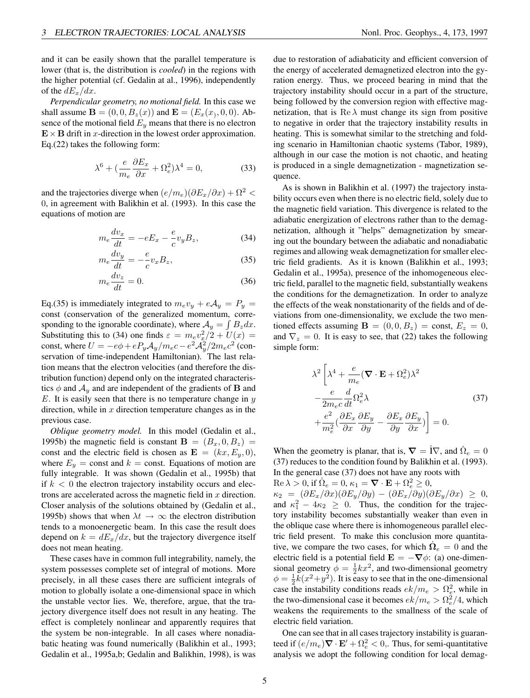and it can be easily shown that the parallel temperature is lower (that is, the distribution is *cooled*) in the regions with the higher potential (cf. Gedalin at al., 1996), independently of the  $dE_x/dx$ .

*Perpendicular geometry, no motional field.* In this case we shall assume  ${\bf B} = (0, 0, B_z(x))$  and  ${\bf E} = (E_x(x), 0, 0)$ . Absence of the motional field  $E_y$  means that there is no electron  $\mathbf{E} \times \mathbf{B}$  drift in x-direction in the lowest order approximation. Eq.(22) takes the following form:

$$
\lambda^6 + \left(\frac{e}{m_e} \frac{\partial E_x}{\partial x} + \Omega_e^2\right) \lambda^4 = 0,\tag{33}
$$

and the trajectories diverge when  $(e/m_e)(\partial E_x/\partial x) + \Omega^2$ 0, in agreement with Balikhin et al. (1993). In this case the equations of motion are

$$
m_e \frac{dv_x}{dt} = -eE_x - \frac{e}{c}v_y B_z,\tag{34}
$$

$$
m_e \frac{dv_y}{dt} = -\frac{e}{c} v_x B_z,\tag{35}
$$

$$
m_e \frac{dv_z}{dt} = 0. \tag{36}
$$

Eq.(35) is immediately integrated to  $m_e v_y + e A_y = P_y$ const (conservation of the generalized momentum, corresponding to the ignorable coordinate), where  $A_y = \int B_z dx$ . Substituting this to (34) one finds  $\varepsilon = m_e v_x^2/2 + U(x) =$ const, where  $U = -e\phi + eP_yA_y/m_ec - e^2A_y^2/2m_ec^2$  (conservation of time-independent Hamiltonian). The last relation means that the electron velocities (and therefore the distribution function) depend only on the integrated characteristics  $\phi$  and  $\mathcal{A}_y$  and are independent of the gradients of **B** and  $E$ . It is easily seen that there is no temperature change in  $y$ direction, while in  $x$  direction temperature changes as in the previous case.

*Oblique geometry model.* In this model (Gedalin et al., 1995b) the magnetic field is constant  $\mathbf{B} = (B_x, 0, B_z)$ const and the electric field is chosen as  $\mathbf{E} = (kx, E_y, 0),$ where  $E_y$  = const and  $k$  = const. Equations of motion are fully integrable. It was shown (Gedalin et al., 1995b) that if  $k < 0$  the electron trajectory instability occurs and electrons are accelerated across the magnetic field in  $x$  direction. Closer analysis of the solutions obtained by (Gedalin et al., 1995b) shows that when  $\lambda t \rightarrow \infty$  the electron distribution tends to a monoenergetic beam. In this case the result does depend on  $k = dE_x/dx$ , but the trajectory divergence itself does not mean heating.

These cases have in common full integrability, namely, the system possesses complete set of integral of motions. More precisely, in all these cases there are sufficient integrals of motion to globally isolate a one-dimensional space in which the unstable vector lies. We, therefore, argue, that the trajectory divergence itself does not result in any heating. The effect is completely nonlinear and apparently requires that the system be non-integrable. In all cases where nonadiabatic heating was found numerically (Balikhin et al., 1993; Gedalin et al., 1995a,b; Gedalin and Balikhin, 1998), is was

due to restoration of adiabaticity and efficient conversion of the energy of accelerated demagnetized electron into the gyration energy. Thus, we proceed bearing in mind that the trajectory instability should occur in a part of the structure, being followed by the conversion region with effective magnetization, that is  $\text{Re }\lambda$  must change its sign from positive to negative in order that the trajectory instability results in heating. This is somewhat similar to the stretching and folding scenario in Hamiltonian chaotic systems (Tabor, 1989), although in our case the motion is not chaotic, and heating is produced in a single demagnetization - magnetization sequence.

As is shown in Balikhin et al. (1997) the trajectory instability occurs even when there is no electric field, solely due to the magnetic field variation. This divergence is related to the adiabatic energization of electrons rather than to the demagnetization, although it "helps" demagnetization by smearing out the boundary between the adiabatic and nonadiabatic regimes and allowing weak demagnetization for smaller electric field gradients. As it is known (Balikhin et al., 1993; Gedalin et al., 1995a), presence of the inhomogeneous electric field, parallel to the magnetic field, substantially weakens the conditions for the demagnetization. In order to analyze the effects of the weak nonstationarity of the fields and of deviations from one-dimensionality, we exclude the two mentioned effects assuming  $\mathbf{B} = (0, 0, B_z) = \text{const}, E_z = 0$ , and  $\nabla_z = 0$ . It is easy to see, that (22) takes the following simple form:

$$
\lambda^{2} \left[ \lambda^{4} + \frac{e}{m_{e}} (\nabla \cdot \mathbf{E} + \Omega_{e}^{2}) \lambda^{2} - \frac{e}{2m_{e}c} \frac{d}{dt} \Omega_{e}^{2} \lambda + \frac{e^{2}}{m_{e}^{2}} (\frac{\partial E_{x}}{\partial x} \frac{\partial E_{y}}{\partial y} - \frac{\partial E_{x}}{\partial y} \frac{\partial E_{y}}{\partial x}) \right] = 0.
$$
\n(37)

When the geometry is planar, that is,  $\nabla = \hat{\mathbf{i}} \nabla$ , and  $\hat{\Omega}_e = 0$ (37) reduces to the condition found by Balikhin et al. (1993). In the general case (37) does not have any roots with

 $\text{Re }\lambda > 0$ , if  $\dot{\Omega}_e = 0$ ,  $\kappa_1 = \nabla \cdot \mathbf{E} + \Omega_e^2 \ge 0$ ,

 $\kappa_2 = (\partial E_x/\partial x)(\partial E_y/\partial y) - (\partial E_x/\partial y)(\partial E_y/\partial x) \geq 0,$ and  $\kappa_1^2 - 4\kappa_2 \geq 0$ . Thus, the condition for the trajectory instability becomes substantially weaker than even in the oblique case where there is inhomogeneous parallel electric field present. To make this conclusion more quantitative, we compare the two cases, for which  $\dot{\Omega}_e = 0$  and the electric field is a potential field  $\mathbf{E} = -\nabla \phi$ : (a) one-dimensional geometry  $\phi = \frac{1}{2}kx^2$ , and two-dimensional geometry  $\phi = \frac{1}{2}k(x^2+y^2)$ . It is easy to see that in the one-dimensional case the instability conditions reads  $ek/m_e > \Omega_e^2$ , while in the two-dimensional case it becomes  $ek/m_e > \Omega_e^2/4$ , which weakens the requirements to the smallness of the scale of electric field variation.

One can see that in all cases trajectory instability is guaranteed if  $(e/m_e) \nabla \cdot \mathbf{E}' + \Omega_e^2 < 0$ , Thus, for semi-quantitative analysis we adopt the following condition for local demag-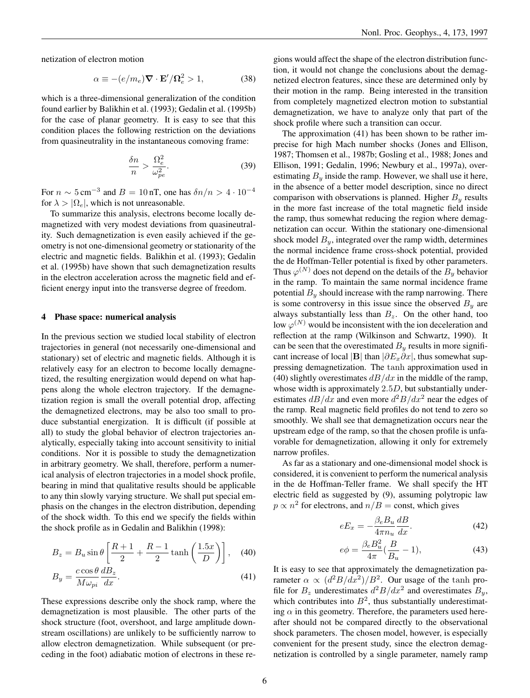$$
\alpha \equiv -(e/m_e)\nabla \cdot \mathbf{E}'/\Omega_e^2 > 1,
$$
 (38)

which is a three-dimensional generalization of the condition found earlier by Balikhin et al. (1993); Gedalin et al. (1995b) for the case of planar geometry. It is easy to see that this condition places the following restriction on the deviations from quasineutrality in the instantaneous comoving frame:

$$
\frac{\delta n}{n} > \frac{\Omega_e^2}{\omega_{pe}^2}.\tag{39}
$$

For  $n \sim 5 \text{ cm}^{-3}$  and  $B = 10 \text{ nT}$ , one has  $\delta n/n > 4 \cdot 10^{-4}$ for  $\lambda > |\Omega_e|$ , which is not unreasonable.

To summarize this analysis, electrons become locally demagnetized with very modest deviations from quasineutrality. Such demagnetization is even easily achieved if the geometry is not one-dimensional geometry or stationarity of the electric and magnetic fields. Balikhin et al. (1993); Gedalin et al. (1995b) have shown that such demagnetization results in the electron acceleration across the magnetic field and efficient energy input into the transverse degree of freedom.

#### 4 Phase space: numerical analysis

In the previous section we studied local stability of electron trajectories in general (not necessarily one-dimensional and stationary) set of electric and magnetic fields. Although it is relatively easy for an electron to become locally demagnetized, the resulting energization would depend on what happens along the whole electron trajectory. If the demagnetization region is small the overall potential drop, affecting the demagnetized electrons, may be also too small to produce substantial energization. It is difficult (if possible at all) to study the global behavior of electron trajectories analytically, especially taking into account sensitivity to initial conditions. Nor it is possible to study the demagnetization in arbitrary geometry. We shall, therefore, perform a numerical analysis of electron trajectories in a model shock profile, bearing in mind that qualitative results should be applicable to any thin slowly varying structure. We shall put special emphasis on the changes in the electron distribution, depending of the shock width. To this end we specify the fields within the shock profile as in Gedalin and Balikhin (1998):

$$
B_z = B_u \sin \theta \left[ \frac{R+1}{2} + \frac{R-1}{2} \tanh \left( \frac{1.5x}{D} \right) \right], \quad (40)
$$

$$
B_y = \frac{c \cos \theta}{M \omega_{pi}} \frac{dB_z}{dx}.
$$
\n(41)

These expressions describe only the shock ramp, where the demagnetization is most plausible. The other parts of the shock structure (foot, overshoot, and large amplitude downstream oscillations) are unlikely to be sufficiently narrow to allow electron demagnetization. While subsequent (or preceding in the foot) adiabatic motion of electrons in these regions would affect the shape of the electron distribution function, it would not change the conclusions about the demagnetized electron features, since these are determined only by their motion in the ramp. Being interested in the transition from completely magnetized electron motion to substantial demagnetization, we have to analyze only that part of the shock profile where such a transition can occur.

The approximation (41) has been shown to be rather imprecise for high Mach number shocks (Jones and Ellison, 1987; Thomsen et al., 1987b; Gosling et al., 1988; Jones and Ellison, 1991; Gedalin, 1996; Newbury et al., 1997a), overestimating  $B<sub>y</sub>$  inside the ramp. However, we shall use it here, in the absence of a better model description, since no direct comparison with observations is planned. Higher  $B<sub>y</sub>$  results in the more fast increase of the total magnetic field inside the ramp, thus somewhat reducing the region where demagnetization can occur. Within the stationary one-dimensional shock model  $B_y$ , integrated over the ramp width, determines the normal incidence frame cross-shock potential, provided the de Hoffman-Teller potential is fixed by other parameters. Thus  $\varphi^{(N)}$  does not depend on the details of the  $B_y$  behavior in the ramp. To maintain the same normal incidence frame potential  $B_y$  should increase with the ramp narrowing. There is some controversy in this issue since the observed  $B<sub>y</sub>$  are always substantially less than  $B_z$ . On the other hand, too low  $\varphi^{(N)}$  would be inconsistent with the ion deceleration and reflection at the ramp (Wilkinson and Schwartz, 1990). It can be seen that the overestimated  $B_y$  results in more significant increase of local |B| than  $|\partial E_x \partial x|$ , thus somewhat suppressing demagnetization. The tanh approximation used in (40) slightly overestimates  $dB/dx$  in the middle of the ramp, whose width is approximately 2.5D, but substantially underestimates  $dB/dx$  and even more  $d^2B/dx^2$  near the edges of the ramp. Real magnetic field profiles do not tend to zero so smoothly. We shall see that demagnetization occurs near the upstream edge of the ramp, so that the chosen profile is unfavorable for demagnetization, allowing it only for extremely narrow profiles.

As far as a stationary and one-dimensional model shock is considered, it is convenient to perform the numerical analysis in the de Hoffman-Teller frame. We shall specify the HT electric field as suggested by (9), assuming polytropic law  $p \propto n^2$  for electrons, and  $n/B = \text{const}$ , which gives

$$
eE_x = -\frac{\beta_e B_u}{4\pi n_u} \frac{dB}{dx}.
$$
\n(42)

$$
e\phi = \frac{\beta_e B_u^2}{4\pi} (\frac{B}{B_u} - 1),
$$
\n(43)

It is easy to see that approximately the demagnetization parameter  $\alpha \propto (d^2B/dx^2)/B^2$ . Our usage of the tanh profile for  $B_z$  underestimates  $d^2B/dx^2$  and overestimates  $B_y$ , which contributes into  $B^2$ , thus substantially underestimating  $\alpha$  in this geometry. Therefore, the parameters used hereafter should not be compared directly to the observational shock parameters. The chosen model, however, is especially convenient for the present study, since the electron demagnetization is controlled by a single parameter, namely ramp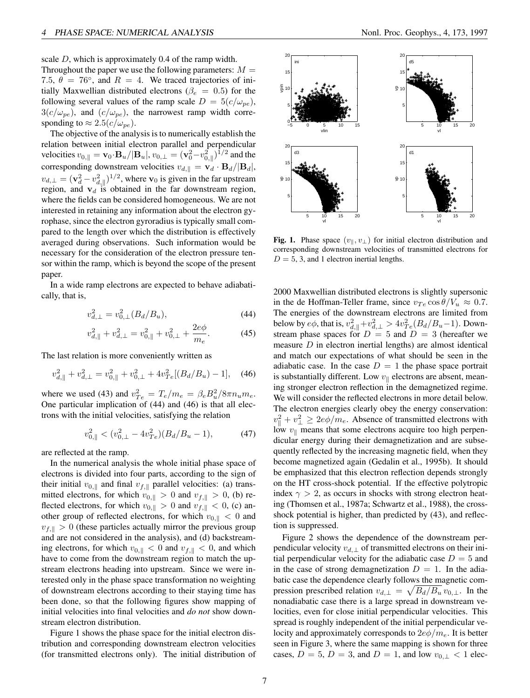scale D, which is approximately 0.4 of the ramp width.

Throughout the paper we use the following parameters:  $M =$ 7.5,  $\theta = 76^{\circ}$ , and  $R = 4$ . We traced trajectories of initially Maxwellian distributed electrons ( $\beta_e = 0.5$ ) for the following several values of the ramp scale  $D = 5(c/\omega_{pe}),$  $3(c/\omega_{pe})$ , and  $(c/\omega_{pe})$ , the narrowest ramp width corresponding to  $\approx 2.5(c/\omega_{pe})$ .

The objective of the analysis is to numerically establish the relation between initial electron parallel and perpendicular velocities  $v_{0,||} = \mathbf{v}_0 \cdot \mathbf{B}_u / |\mathbf{B}_u|, v_{0,\perp} = (\mathbf{v}_0^2 - v_{0,||}^2)^{1/2}$  and the corresponding downstream velocities  $v_{d, \parallel} = \mathbf{v}_d + \mathbf{B}_d / |\mathbf{B}_d|$ ,  $v_{d, \perp} = (\mathbf{v}_d^2 - v_{d, \parallel}^2)^{1/2}$ , where  $\mathbf{v}_0$  is given in the far upstream region, and  $v_d$  is obtained in the far downstream region, where the fields can be considered homogeneous. We are not interested in retaining any information about the electron gyrophase, since the electron gyroradius is typically small compared to the length over which the distribution is effectively averaged during observations. Such information would be necessary for the consideration of the electron pressure tensor within the ramp, which is beyond the scope of the present paper.

In a wide ramp electrons are expected to behave adiabatically, that is,

$$
v_{d,\perp}^2 = v_{0,\perp}^2(B_d/B_u),\tag{44}
$$

$$
v_{d,\parallel}^2 + v_{d,\perp}^2 = v_{0,\parallel}^2 + v_{0,\perp}^2 + \frac{2e\phi}{m_e}.
$$
 (45)

The last relation is more conveniently written as

$$
v_{d,\parallel}^2 + v_{d,\perp}^2 = v_{0,\parallel}^2 + v_{0,\perp}^2 + 4v_{Te}^2[(B_d/B_u) - 1], \quad (46)
$$

where we used (43) and  $v_{Te}^2 = T_e/m_e = \beta_e B_u^2/8\pi n_u m_e$ . One particular implication of (44) and (46) is that all electrons with the initial velocities, satisfying the relation

$$
v_{0,\parallel}^2 < (v_{0,\perp}^2 - 4v_{Te}^2)(B_d/B_u - 1),\tag{47}
$$

are reflected at the ramp.

In the numerical analysis the whole initial phase space of electrons is divided into four parts, according to the sign of their initial  $v_{0,\parallel}$  and final  $v_{f,\parallel}$  parallel velocities: (a) transmitted electrons, for which  $v_{0,\parallel} > 0$  and  $v_{f,\parallel} > 0$ , (b) reflected electrons, for which  $v_{0,\parallel} > 0$  and  $v_{f,\parallel} < 0$ , (c) another group of reflected electrons, for which  $v_{0,\parallel} < 0$  and  $v_{f, \|} > 0$  (these particles actually mirror the previous group and are not considered in the analysis), and (d) backstreaming electrons, for which  $v_{0,\parallel} < 0$  and  $v_{f,\parallel} < 0$ , and which have to come from the downstream region to match the upstream electrons heading into upstream. Since we were interested only in the phase space transformation no weighting of downstream electrons according to their staying time has been done, so that the following figures show mapping of initial velocities into final velocities and *do not* show downstream electron distribution.

Figure 1 shows the phase space for the initial electron distribution and corresponding downstream electron velocities (for transmitted electrons only). The initial distribution of



Fig. 1. Phase space  $(v_{\parallel}, v_{\perp})$  for initial electron distribution and corresponding downstream velocities of transmitted electrons for  $D = 5$ , 3, and 1 electron inertial lengths.

2000 Maxwellian distributed electrons is slightly supersonic in the de Hoffman-Teller frame, since  $v_{Te} \cos \theta / V_u \approx 0.7$ . The energies of the downstream electrons are limited from below by  $e\phi$ , that is,  $v_{d,\parallel}^2 + v_{d,\perp}^2 > 4v_{Te}^2(B_d/B_u-1)$ . Downstream phase spaces for  $D = 5$  and  $D = 3$  (hereafter we measure  $D$  in electron inertial lengths) are almost identical and match our expectations of what should be seen in the adiabatic case. In the case  $D = 1$  the phase space portrait is substantially different. Low  $v_{\parallel}$  electrons are absent, meaning stronger electron reflection in the demagnetized regime. We will consider the reflected electrons in more detail below. The electron energies clearly obey the energy conservation:  $v_{\parallel}^2 + v_{\perp}^2 \ge 2e\phi/m_e$ . Absence of transmitted electrons with low  $v_{\parallel}$  means that some electrons acquire too high perpendicular energy during their demagnetization and are subsequently reflected by the increasing magnetic field, when they become magnetized again (Gedalin et al., 1995b). It should be emphasized that this electron reflection depends strongly on the HT cross-shock potential. If the effective polytropic index  $\gamma > 2$ , as occurs in shocks with strong electron heating (Thomsen et al., 1987a; Schwartz et al., 1988), the crossshock potential is higher, than predicted by (43), and reflection is suppressed.

Figure 2 shows the dependence of the downstream perpendicular velocity  $v_{d, \perp}$  of transmitted electrons on their initial perpendicular velocity for the adiabatic case  $D = 5$  and in the case of strong demagnetization  $D = 1$ . In the adiabatic case the dependence clearly follows the magnetic compression prescribed relation  $v_{d, \perp} = \sqrt{B_d/B_u} v_{0, \perp}$ . In the nonadiabatic case there is a large spread in downstream velocities, even for close initial perpendicular velocities. This spread is roughly independent of the initial perpendicular velocity and approximately corresponds to  $2e\phi/m_e$ . It is better seen in Figure 3, where the same mapping is shown for three cases,  $D = 5$ ,  $D = 3$ , and  $D = 1$ , and low  $v_{0,\perp} < 1$  elec-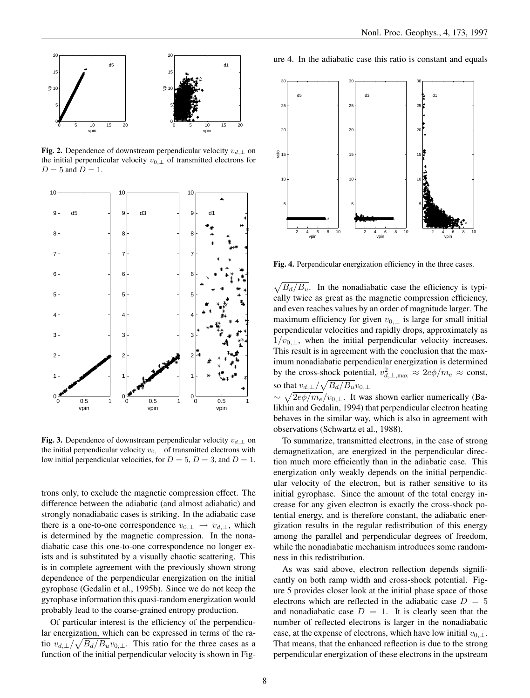

Fig. 2. Dependence of downstream perpendicular velocity  $v_{d, \perp}$  on the initial perpendicular velocity  $v_{0,\perp}$  of transmitted electrons for  $D = 5$  and  $D = 1$ .



Fig. 3. Dependence of downstream perpendicular velocity  $v_{d, \perp}$  on the initial perpendicular velocity  $v_{0,\perp}$  of transmitted electrons with low initial perpendicular velocities, for  $D = 5$ ,  $D = 3$ , and  $D = 1$ .

trons only, to exclude the magnetic compression effect. The difference between the adiabatic (and almost adiabatic) and strongly nonadiabatic cases is striking. In the adiabatic case there is a one-to-one correspondence  $v_{0,\perp} \rightarrow v_{d,\perp}$ , which is determined by the magnetic compression. In the nonadiabatic case this one-to-one correspondence no longer exists and is substituted by a visually chaotic scattering. This is in complete agreement with the previously shown strong dependence of the perpendicular energization on the initial gyrophase (Gedalin et al., 1995b). Since we do not keep the gyrophase information this quasi-random energization would probably lead to the coarse-grained entropy production.

Of particular interest is the efficiency of the perpendicular energization, which can be expressed in terms of the ratio  $v_{d,\perp}/\sqrt{B_d/B_u}v_{0,\perp}$ . This ratio for the three cases as a function of the initial perpendicular velocity is shown in Figure 4. In the adiabatic case this ratio is constant and equals



Fig. 4. Perpendicular energization efficiency in the three cases.

 $\sqrt{B_d/B_u}$ . In the nonadiabatic case the efficiency is typically twice as great as the magnetic compression efficiency, and even reaches values by an order of magnitude larger. The maximum efficiency for given  $v_{0,\perp}$  is large for small initial perpendicular velocities and rapidly drops, approximately as  $1/v_{0,\perp}$ , when the initial perpendicular velocity increases. This result is in agreement with the conclusion that the maximum nonadiabatic perpendicular energization is determined by the cross-shock potential,  $v_{d,\perp,\text{max}}^2 \approx 2e\phi/m_e \approx \text{const}$ , so that  $v_{d,\perp}/\sqrt{B_d/B_u}v_{0,\perp}$  $\sim \sqrt{2e\phi/m_e}/v_{0,\perp}$ . It was shown earlier numerically (Ba-

likhin and Gedalin, 1994) that perpendicular electron heating behaves in the similar way, which is also in agreement with observations (Schwartz et al., 1988).

To summarize, transmitted electrons, in the case of strong demagnetization, are energized in the perpendicular direction much more efficiently than in the adiabatic case. This energization only weakly depends on the initial perpendicular velocity of the electron, but is rather sensitive to its initial gyrophase. Since the amount of the total energy increase for any given electron is exactly the cross-shock potential energy, and is therefore constant, the adiabatic energization results in the regular redistribution of this energy among the parallel and perpendicular degrees of freedom, while the nonadiabatic mechanism introduces some randomness in this redistribution.

As was said above, electron reflection depends significantly on both ramp width and cross-shock potential. Figure 5 provides closer look at the initial phase space of those electrons which are reflected in the adiabatic case  $D = 5$ and nonadiabatic case  $D = 1$ . It is clearly seen that the number of reflected electrons is larger in the nonadiabatic case, at the expense of electrons, which have low initial  $v_{0,\perp}$ . That means, that the enhanced reflection is due to the strong perpendicular energization of these electrons in the upstream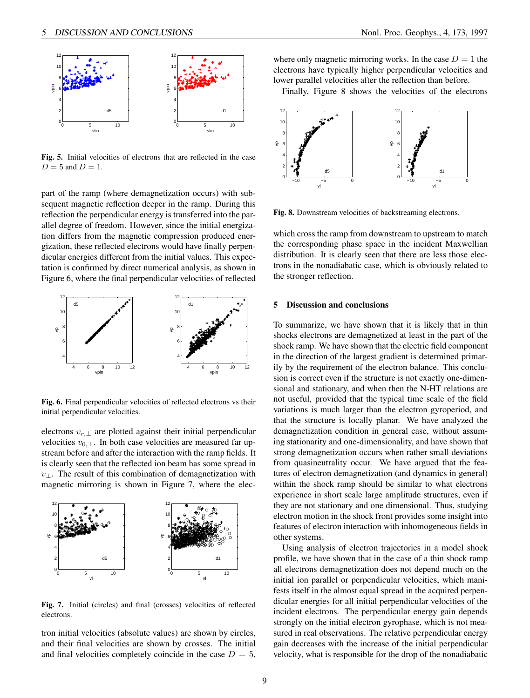

Fig. 5. Initial velocities of electrons that are reflected in the case  $D = 5$  and  $D = 1$ .

part of the ramp (where demagnetization occurs) with subsequent magnetic reflection deeper in the ramp. During this reflection the perpendicular energy is transferred into the parallel degree of freedom. However, since the initial energization differs from the magnetic compression produced energization, these reflected electrons would have finally perpendicular energies different from the initial values. This expectation is confirmed by direct numerical analysis, as shown in Figure 6, where the final perpendicular velocities of reflected



Fig. 6. Final perpendicular velocities of reflected electrons vs their initial perpendicular velocities.

electrons  $v_{r,\perp}$  are plotted against their initial perpendicular velocities  $v_{0,\perp}$ . In both case velocities are measured far upstream before and after the interaction with the ramp fields. It is clearly seen that the reflected ion beam has some spread in  $v_{\perp}$ . The result of this combination of demagnetization with magnetic mirroring is shown in Figure 7, where the elec-



Fig. 7. Initial (circles) and final (crosses) velocities of reflected electrons.

tron initial velocities (absolute values) are shown by circles, and their final velocities are shown by crosses. The initial and final velocities completely coincide in the case  $D = 5$ ,

where only magnetic mirroring works. In the case  $D = 1$  the electrons have typically higher perpendicular velocities and lower parallel velocities after the reflection than before.

Finally, Figure 8 shows the velocities of the electrons



Fig. 8. Downstream velocities of backstreaming electrons.

which cross the ramp from downstream to upstream to match the corresponding phase space in the incident Maxwellian distribution. It is clearly seen that there are less those electrons in the nonadiabatic case, which is obviously related to the stronger reflection.

## 5 Discussion and conclusions

To summarize, we have shown that it is likely that in thin shocks electrons are demagnetized at least in the part of the shock ramp. We have shown that the electric field component in the direction of the largest gradient is determined primarily by the requirement of the electron balance. This conclusion is correct even if the structure is not exactly one-dimensional and stationary, and when then the N-HT relations are not useful, provided that the typical time scale of the field variations is much larger than the electron gyroperiod, and that the structure is locally planar. We have analyzed the demagnetization condition in general case, without assuming stationarity and one-dimensionality, and have shown that strong demagnetization occurs when rather small deviations from quasineutrality occur. We have argued that the features of electron demagnetization (and dynamics in general) within the shock ramp should be similar to what electrons experience in short scale large amplitude structures, even if they are not stationary and one dimensional. Thus, studying electron motion in the shock front provides some insight into features of electron interaction with inhomogeneous fields in other systems.

Using analysis of electron trajectories in a model shock profile, we have shown that in the case of a thin shock ramp all electrons demagnetization does not depend much on the initial ion parallel or perpendicular velocities, which manifests itself in the almost equal spread in the acquired perpendicular energies for all initial perpendicular velocities of the incident electrons. The perpendicular energy gain depends strongly on the initial electron gyrophase, which is not measured in real observations. The relative perpendicular energy gain decreases with the increase of the initial perpendicular velocity, what is responsible for the drop of the nonadiabatic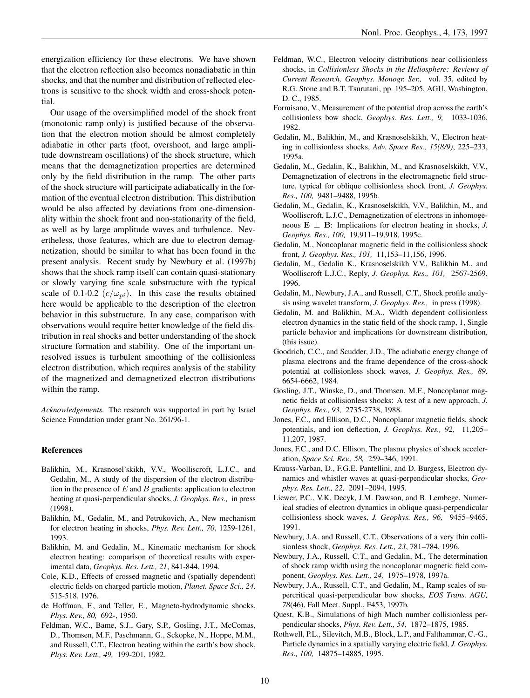energization efficiency for these electrons. We have shown that the electron reflection also becomes nonadiabatic in thin shocks, and that the number and distribution of reflected electrons is sensitive to the shock width and cross-shock potential.

Our usage of the oversimplified model of the shock front (monotonic ramp only) is justified because of the observation that the electron motion should be almost completely adiabatic in other parts (foot, overshoot, and large amplitude downstream oscillations) of the shock structure, which means that the demagnetization properties are determined only by the field distribution in the ramp. The other parts of the shock structure will participate adiabatically in the formation of the eventual electron distribution. This distribution would be also affected by deviations from one-dimensionality within the shock front and non-stationarity of the field, as well as by large amplitude waves and turbulence. Nevertheless, those features, which are due to electron demagnetization, should be similar to what has been found in the present analysis. Recent study by Newbury et al. (1997b) shows that the shock ramp itself can contain quasi-stationary or slowly varying fine scale substructure with the typical scale of 0.1-0.2  $(c/\omega_{pi})$ . In this case the results obtained here would be applicable to the description of the electron behavior in this substructure. In any case, comparison with observations would require better knowledge of the field distribution in real shocks and better understanding of the shock structure formation and stability. One of the important unresolved issues is turbulent smoothing of the collisionless electron distribution, which requires analysis of the stability of the magnetized and demagnetized electron distributions within the ramp.

*Acknowledgements.* The research was supported in part by Israel Science Foundation under grant No. 261/96-1.

#### References

- Balikhin, M., Krasnosel'skikh, V.V., Woolliscroft, L.J.C., and Gedalin, M., A study of the dispersion of the electron distribution in the presence of  $E$  and  $B$  gradients: application to electron heating at quasi-perpendicular shocks, *J. Geophys. Res.,* in press (1998).
- Balikhin, M., Gedalin, M., and Petrukovich, A., New mechanism for electron heating in shocks, *Phys. Rev. Lett., 70*, 1259-1261, 1993.
- Balikhin, M. and Gedalin, M., Kinematic mechanism for shock electron heating: comparison of theoretical results with experimental data, *Geophys. Res. Lett., 21*, 841-844, 1994.
- Cole, K.D., Effects of crossed magnetic and (spatially dependent) electric fields on charged particle motion, *Planet. Space Sci., 24,* 515-518, 1976.
- de Hoffman, F., and Teller, E., Magneto-hydrodynamic shocks, *Phys. Rev., 80,* 692-, 1950.
- Feldman, W.C., Bame, S.J., Gary, S.P., Gosling, J.T., McComas, D., Thomsen, M.F., Paschmann, G., Sckopke, N., Hoppe, M.M., and Russell, C.T., Electron heating within the earth's bow shock, *Phys. Rev. Lett., 49,* 199-201, 1982.
- Feldman, W.C., Electron velocity distributions near collisionless shocks, in *Collisionless Shocks in the Heliosphere: Reviews of Current Research, Geophys. Monogr. Ser.,* vol. 35, edited by R.G. Stone and B.T. Tsurutani, pp. 195–205, AGU, Washington, D. C., 1985.
- Formisano, V., Measurement of the potential drop across the earth's collisionless bow shock, *Geophys. Res. Lett., 9,* 1033-1036, 1982.
- Gedalin, M., Balikhin, M., and Krasnoselskikh, V., Electron heating in collisionless shocks, *Adv. Space Res., 15(8/9)*, 225–233, 1995a.
- Gedalin, M., Gedalin, K., Balikhin, M., and Krasnoselskikh, V.V., Demagnetization of electrons in the electromagnetic field structure, typical for oblique collisionless shock front, *J. Geophys. Res., 100,* 9481–9488, 1995b.
- Gedalin, M., Gedalin, K., Krasnoselskikh, V.V., Balikhin, M., and Woolliscroft, L.J.C., Demagnetization of electrons in inhomogeneous  $\mathbf{E} \perp \mathbf{B}$ : Implications for electron heating in shocks, *J*. *Geophys. Res., 100,* 19,911–19,918, 1995c.
- Gedalin, M., Noncoplanar magnetic field in the collisionless shock front, *J. Geophys. Res., 101,* 11,153–11,156, 1996.
- Gedalin, M., Gedalin K., Krasnoselskikh V.V., Balikhin M., and Woolliscroft L.J.C., Reply, *J. Geophys. Res., 101,* 2567-2569, 1996.
- Gedalin, M., Newbury, J.A., and Russell, C.T., Shock profile analysis using wavelet transform, *J. Geophys. Res.,* in press (1998).
- Gedalin, M. and Balikhin, M.A., Width dependent collisionless electron dynamics in the static field of the shock ramp, 1, Single particle behavior and implications for downstream distribution, (this issue).
- Goodrich, C.C., and Scudder, J.D., The adiabatic energy change of plasma electrons and the frame dependence of the cross-shock potential at collisionless shock waves, *J. Geophys. Res., 89,* 6654-6662, 1984.
- Gosling, J.T., Winske, D., and Thomsen, M.F., Noncoplanar magnetic fields at collisionless shocks: A test of a new approach, *J. Geophys. Res., 93,* 2735-2738, 1988.
- Jones, F.C., and Ellison, D.C., Noncoplanar magnetic fields, shock potentials, and ion deflection, *J. Geophys. Res., 92,* 11,205– 11,207, 1987.
- Jones, F.C., and D.C. Ellison, The plasma physics of shock acceleration, *Space Sci. Rev., 58,* 259–346, 1991.
- Krauss-Varban, D., F.G.E. Pantellini, and D. Burgess, Electron dynamics and whistler waves at quasi-perpendicular shocks, *Geophys. Res. Lett., 22,* 2091–2094, 1995.
- Liewer, P.C., V.K. Decyk, J.M. Dawson, and B. Lembege, Numerical studies of electron dynamics in oblique quasi-perpendicular collisionless shock waves, *J. Geophys. Res., 96,* 9455–9465, 1991.
- Newbury, J.A. and Russell, C.T., Observations of a very thin collisionless shock, *Geophys. Res. Lett., 23*, 781–784, 1996.
- Newbury, J.A., Russell, C.T., and Gedalin, M., The determination of shock ramp width using the noncoplanar magnetic field component, *Geophys. Res. Lett., 24,* 1975–1978, 1997a.
- Newbury, J.A., Russell, C.T., and Gedalin, M., Ramp scales of supercritical quasi-perpendicular bow shocks, *EOS Trans. AGU, 78*(46), Fall Meet. Suppl., F453, 1997b.
- Quest, K.B., Simulations of high Mach number collisionless perpendicular shocks, *Phys. Rev. Lett., 54,* 1872–1875, 1985.
- Rothwell, P.L., Silevitch, M.B., Block, L.P., and Falthammar, C.-G., Particle dynamics in a spatially varying electric field, *J. Geophys. Res., 100,* 14875–14885, 1995.